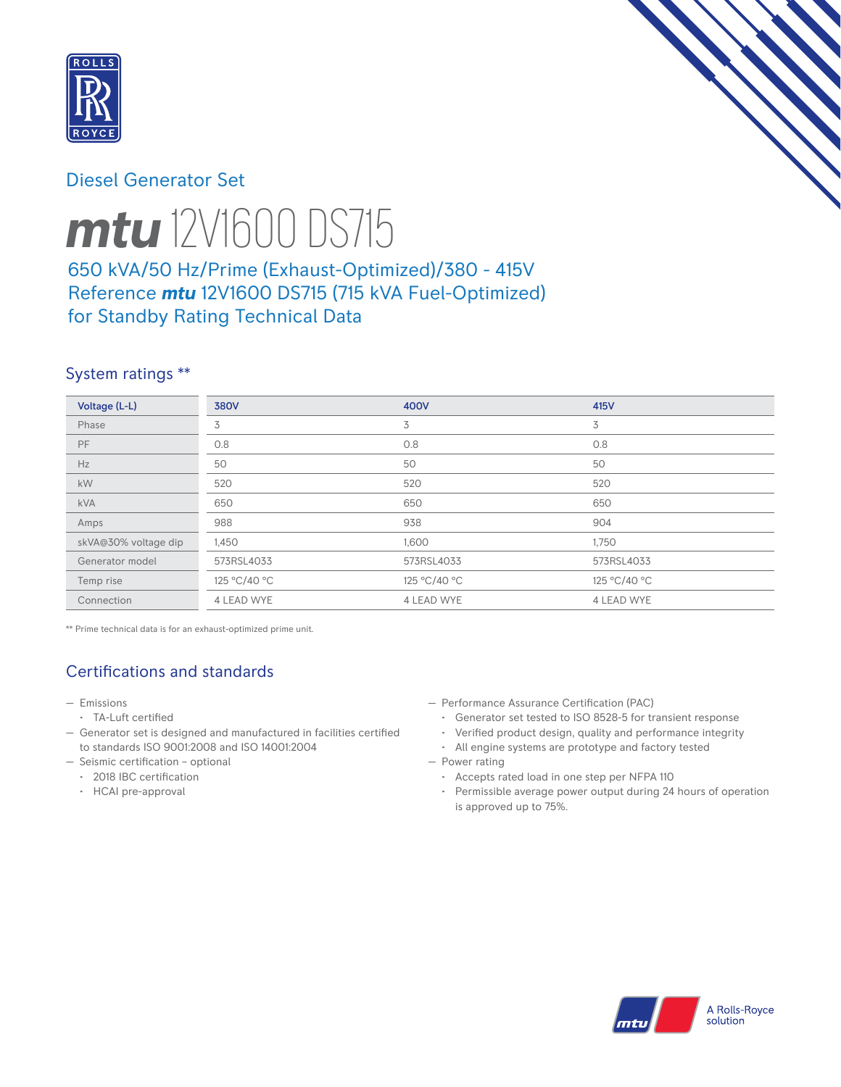

## Diesel Generator Set



# *mtu* 12V1600 DS715

## 650 kVA/50 Hz/Prime (Exhaust-Optimized)/380 - 415V Reference *mtu* 12V1600 DS715 (715 kVA Fuel-Optimized) for Standby Rating Technical Data

## System ratings \*\*

| Voltage (L-L)        | <b>380V</b>       | 400V              | 415V         |
|----------------------|-------------------|-------------------|--------------|
| Phase                | 3                 | 3                 | 3            |
| <b>PF</b>            | 0.8               | 0.8               | 0.8          |
| Hz                   | 50                | 50                | 50           |
| kW                   | 520               | 520               | 520          |
| <b>kVA</b>           | 650               | 650               | 650          |
| Amps                 | 988               | 938               | 904          |
| skVA@30% voltage dip | 1,450             | 1,600             | 1,750        |
| Generator model      | 573RSL4033        | 573RSL4033        | 573RSL4033   |
| Temp rise            | 125 °C/40 °C      | 125 °C/40 °C      | 125 °C/40 °C |
| Connection           | <b>4 LEAD WYE</b> | <b>4 LEAD WYE</b> | 4 LEAD WYE   |

\*\* Prime technical data is for an exhaust-optimized prime unit.

# Certifications and standards

- Emissions
- TA-Luft certified
- Generator set is designed and manufactured in facilities certified to standards ISO 9001:2008 and ISO 14001:2004
- Seismic certification optional
	- 2018 IBC certification
	- HCAI pre-approval
- Performance Assurance Certification (PAC)
	- Generator set tested to ISO 8528-5 for transient response
	- Verified product design, quality and performance integrity
- All engine systems are prototype and factory tested — Power rating
	- Accepts rated load in one step per NFPA 110
	- Permissible average power output during 24 hours of operation is approved up to 75%.

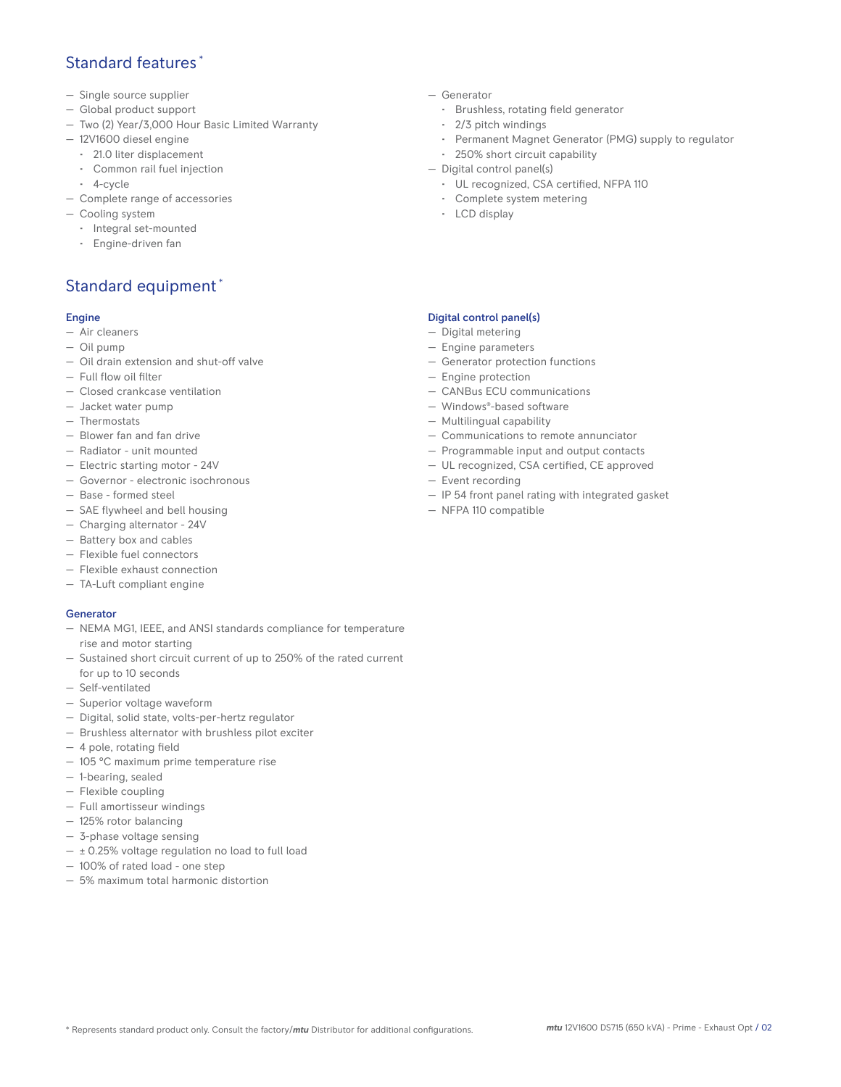## Standard features \*

- Single source supplier
- Global product support
- Two (2) Year/3,000 Hour Basic Limited Warranty
- 12V1600 diesel engine
	- 21.0 liter displacement
	- Common rail fuel injection
- 4-cycle
- Complete range of accessories
- Cooling system
	- Integral set-mounted
	- Engine-driven fan

## Standard equipment \*

#### Engine

- Air cleaners
- Oil pump
- Oil drain extension and shut-off valve
- Full flow oil filter
- Closed crankcase ventilation
- Jacket water pump
- Thermostats
- Blower fan and fan drive
- Radiator unit mounted
- Electric starting motor 24V
- Governor electronic isochronous
- Base formed steel
- SAE flywheel and bell housing
- Charging alternator 24V
- Battery box and cables
- Flexible fuel connectors
- Flexible exhaust connection
- TA-Luft compliant engine

#### Generator

- NEMA MG1, IEEE, and ANSI standards compliance for temperature rise and motor starting
- Sustained short circuit current of up to 250% of the rated current for up to 10 seconds
- Self-ventilated
- Superior voltage waveform
- Digital, solid state, volts-per-hertz regulator
- Brushless alternator with brushless pilot exciter
- 4 pole, rotating field
- 105 °C maximum prime temperature rise
- 1-bearing, sealed
- Flexible coupling
- Full amortisseur windings
- 125% rotor balancing
- 3-phase voltage sensing
- $\pm$  0.25% voltage regulation no load to full load
- 100% of rated load one step
- 5% maximum total harmonic distortion
- Generator
	- Brushless, rotating field generator
	- 2/3 pitch windings
	- Permanent Magnet Generator (PMG) supply to regulator
- 250% short circuit capability
- Digital control panel(s)
	- UL recognized, CSA certified, NFPA 110
	- Complete system metering
	- LCD display

#### Digital control panel(s)

- Digital metering
- Engine parameters
- Generator protection functions
- Engine protection
- CANBus ECU communications
- Windows®-based software
- Multilingual capability
- Communications to remote annunciator
- Programmable input and output contacts
- UL recognized, CSA certified, CE approved
- Event recording
- IP 54 front panel rating with integrated gasket
- NFPA 110 compatible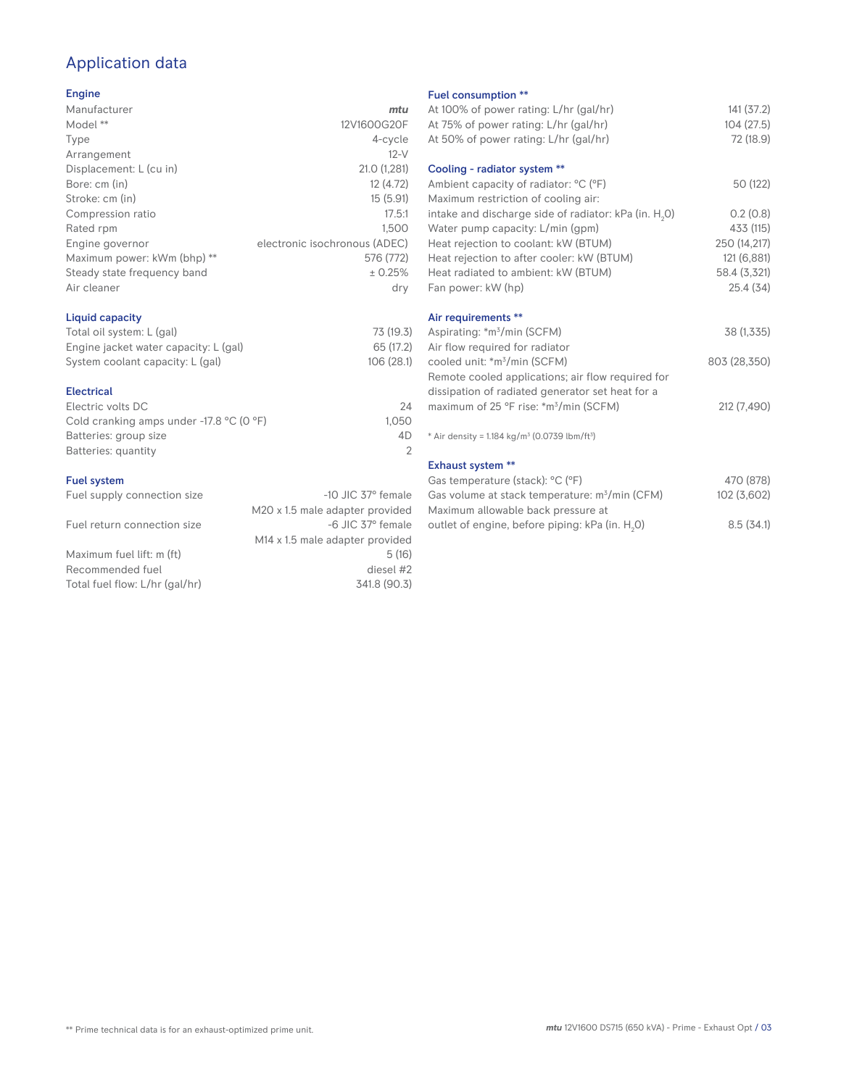## Application data

#### Engine

| Manufacturer                | mtu                           |
|-----------------------------|-------------------------------|
| Model **                    | 12V1600G20F                   |
| Type                        | 4-cycle                       |
| Arrangement                 | $12-V$                        |
| Displacement: L (cu in)     | 21.0 (1,281)                  |
| Bore: cm (in)               | 12 (4.72)                     |
| Stroke: cm (in)             | 15(5.91)                      |
| Compression ratio           | 17.5:1                        |
| Rated rpm                   | 1.500                         |
| Engine governor             | electronic isochronous (ADEC) |
| Maximum power: kWm (bhp) ** | 576 (772)                     |
| Steady state frequency band | ± 0.25%                       |
| Air cleaner                 | dry                           |
|                             |                               |

#### Liquid capacity

| Total oil system: L (gal)             | 73 (19.3)  |
|---------------------------------------|------------|
| Engine jacket water capacity: L (gal) | 65 (17.2)  |
| System coolant capacity: L (gal)      | 106 (28.1) |

#### Electrical

| 24    |
|-------|
| 1.050 |
| 4D    |
|       |
|       |

#### Fuel system

| Fuel supply connection size    | $-10$ JIC 37 $\degree$ female               |
|--------------------------------|---------------------------------------------|
|                                | M20 x 1.5 male adapter provided             |
| Fuel return connection size    | -6 JIC 37° female                           |
|                                | M <sub>14</sub> x 1.5 male adapter provided |
| Maximum fuel lift: m (ft)      | 5(16)                                       |
| Recommended fuel               | diesel #2                                   |
| Total fuel flow: L/hr (gal/hr) | 341.8 (90.3)                                |

#### Fuel consumption \*\*

|                      | <b>I UCL CONSUMPTION</b>                                             |              |
|----------------------|----------------------------------------------------------------------|--------------|
| u                    | At 100% of power rating: L/hr (gal/hr)                               | 141(37.2)    |
| F                    | At 75% of power rating: L/hr (gal/hr)                                | 104(27.5)    |
| e                    | At 50% of power rating: L/hr (gal/hr)                                | 72 (18.9)    |
| V                    |                                                                      |              |
| 1)                   | Cooling - radiator system **                                         |              |
| 2)                   | Ambient capacity of radiator: °C (°F)                                | 50 (122)     |
| 1)                   | Maximum restriction of cooling air:                                  |              |
| :1                   | intake and discharge side of radiator: kPa (in. H <sub>2</sub> O)    | 0.2(0.8)     |
| 0                    | Water pump capacity: L/min (gpm)                                     | 433 (115)    |
| C)                   | Heat rejection to coolant: kW (BTUM)                                 | 250 (14,217) |
| 2)                   | Heat rejection to after cooler: kW (BTUM)                            | 121 (6,881)  |
| ℅                    | Heat radiated to ambient: kW (BTUM)                                  | 58.4 (3,321) |
| .<br>V               | Fan power: kW (hp)                                                   | 25.4 (34)    |
|                      | Air requirements **                                                  |              |
| .3)                  | Aspirating: *m <sup>3</sup> /min (SCFM)                              | 38 (1,335)   |
| .2)                  | Air flow required for radiator                                       |              |
| :1)                  | cooled unit: *m <sup>3</sup> /min (SCFM)                             | 803 (28,350) |
|                      | Remote cooled applications; air flow required for                    |              |
|                      | dissipation of radiated generator set heat for a                     |              |
| 24                   | maximum of 25 °F rise: *m <sup>3</sup> /min (SCFM)                   | 212 (7,490)  |
| 50                   |                                                                      |              |
| ŀD<br>$\overline{2}$ | * Air density = $1.184 \text{ kg/m}^3$ (0.0739 lbm/ft <sup>3</sup> ) |              |
|                      | <b>Exhaust system **</b>                                             |              |
|                      | Gas temperature (stack): °C (°F)                                     | 470 (878)    |
| ıle                  | Gas volume at stack temperature: m <sup>3</sup> /min (CFM)           | 102 (3,602)  |
| эd                   | Maximum allowable back pressure at                                   |              |

outlet of engine, before piping: kPa (in.  $H_2O$ )

0) 8.5 (34.1)